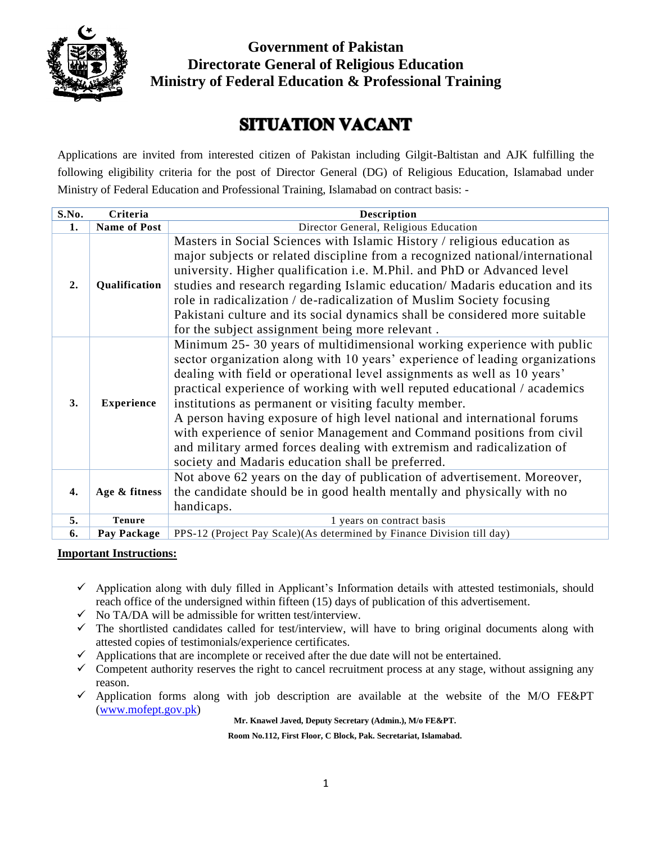

**Government of Pakistan Directorate General of Religious Education Ministry of Federal Education & Professional Training**

# **SITUATION VACANT**

Applications are invited from interested citizen of Pakistan including Gilgit-Baltistan and AJK fulfilling the following eligibility criteria for the post of Director General (DG) of Religious Education, Islamabad under Ministry of Federal Education and Professional Training, Islamabad on contract basis: -

| S.No. | Criteria            | <b>Description</b>                                                                                                                                                                                                                                                                                                                                                                                                                                                                                                                                                                                                                                           |  |  |
|-------|---------------------|--------------------------------------------------------------------------------------------------------------------------------------------------------------------------------------------------------------------------------------------------------------------------------------------------------------------------------------------------------------------------------------------------------------------------------------------------------------------------------------------------------------------------------------------------------------------------------------------------------------------------------------------------------------|--|--|
| 1.    | <b>Name of Post</b> | Director General, Religious Education                                                                                                                                                                                                                                                                                                                                                                                                                                                                                                                                                                                                                        |  |  |
| 2.    | Qualification       | Masters in Social Sciences with Islamic History / religious education as<br>major subjects or related discipline from a recognized national/international<br>university. Higher qualification i.e. M.Phil. and PhD or Advanced level<br>studies and research regarding Islamic education/ Madaris education and its<br>role in radicalization / de-radicalization of Muslim Society focusing<br>Pakistani culture and its social dynamics shall be considered more suitable<br>for the subject assignment being more relevant.                                                                                                                               |  |  |
| 3.    | <b>Experience</b>   | Minimum 25-30 years of multidimensional working experience with public<br>sector organization along with 10 years' experience of leading organizations<br>dealing with field or operational level assignments as well as 10 years'<br>practical experience of working with well reputed educational / academics<br>institutions as permanent or visiting faculty member.<br>A person having exposure of high level national and international forums<br>with experience of senior Management and Command positions from civil<br>and military armed forces dealing with extremism and radicalization of<br>society and Madaris education shall be preferred. |  |  |
| 4.    | Age & fitness       | Not above 62 years on the day of publication of advertisement. Moreover,<br>the candidate should be in good health mentally and physically with no<br>handicaps.                                                                                                                                                                                                                                                                                                                                                                                                                                                                                             |  |  |
| 5.    | <b>Tenure</b>       | 1 years on contract basis                                                                                                                                                                                                                                                                                                                                                                                                                                                                                                                                                                                                                                    |  |  |
| 6.    | Pay Package         | PPS-12 (Project Pay Scale)(As determined by Finance Division till day)                                                                                                                                                                                                                                                                                                                                                                                                                                                                                                                                                                                       |  |  |

### **Important Instructions:**

- $\checkmark$  Application along with duly filled in Applicant's Information details with attested testimonials, should reach office of the undersigned within fifteen (15) days of publication of this advertisement.
- $\checkmark$  No TA/DA will be admissible for written test/interview.
- $\checkmark$  The shortlisted candidates called for test/interview, will have to bring original documents along with attested copies of testimonials/experience certificates.
- $\checkmark$  Applications that are incomplete or received after the due date will not be entertained.
- $\checkmark$  Competent authority reserves the right to cancel recruitment process at any stage, without assigning any reason.
- $\checkmark$  Application forms along with job description are available at the website of the M/O FE&PT [\(www.mofept.gov.pk\)](http://www.mofept.gov.pk/)

**Mr. Knawel Javed, Deputy Secretary (Admin.), M/o FE&PT.**

**Room No.112, First Floor, C Block, Pak. Secretariat, Islamabad.**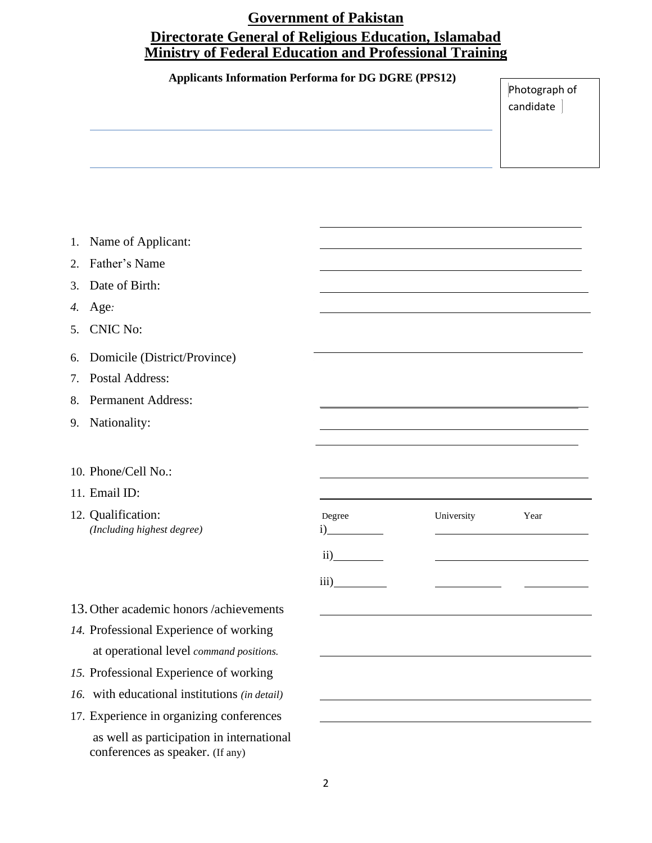## **Government of Pakistan Directorate General of Religious Education, Islamabad Ministry of Federal Education and Professional Training**

#### **Applicants Information Performa for DG DGRE (PPS12)**

Photograph of candidate

|  | 1. Name of Applicant: |
|--|-----------------------|
|--|-----------------------|

- 2. Father's Name
- 3. Date of Birth:
- *4.* Age*: date of receipt of applications)*
- 5. CNIC No:
- 6. Domicile (District/Province) `
- 7. Postal Address:
- 8. Permanent Address:
- 9. Nationality:
- 10. Phone/Cell No.:
- 11. Email ID:
- 12. Qualification: *(Including highest degree)*

| Degree | University | Year |
|--------|------------|------|
|        |            |      |
| iii    |            |      |

- 13. Other academic honors /achievements
- *14.* Professional Experience of working at operational level *command positions.*
- *15.* Professional Experience of working
- *16.* with educational institutions *(in detail)*
- 17. Experience in organizing conferences

as well as participation in international conferences as speaker. (If any)